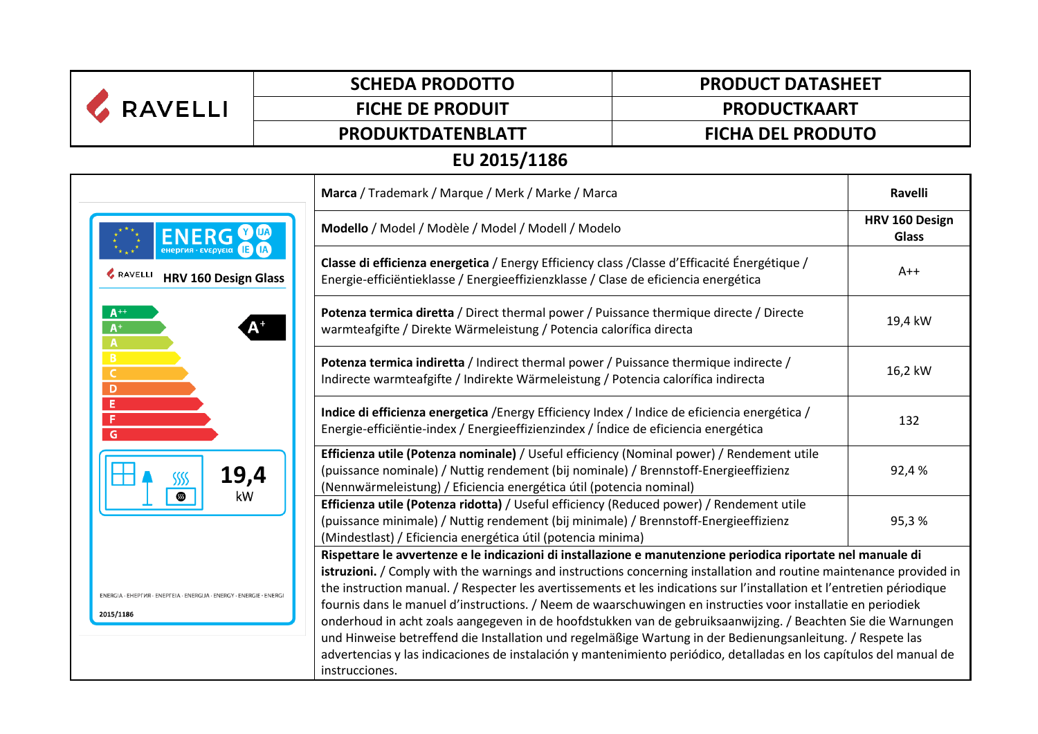| <b>RAVELLI</b>                                                                   | <b>SCHEDA PRODOTTO</b>  | <b>PRODUCT DATASHEET</b>                                                                                                                                                                                                                                                                                                                                                                                                                                                                                                                                                                                                                                                                                                                                                                                                                              |  |  |  |  |  |
|----------------------------------------------------------------------------------|-------------------------|-------------------------------------------------------------------------------------------------------------------------------------------------------------------------------------------------------------------------------------------------------------------------------------------------------------------------------------------------------------------------------------------------------------------------------------------------------------------------------------------------------------------------------------------------------------------------------------------------------------------------------------------------------------------------------------------------------------------------------------------------------------------------------------------------------------------------------------------------------|--|--|--|--|--|
|                                                                                  | <b>FICHE DE PRODUIT</b> | <b>PRODUCTKAART</b>                                                                                                                                                                                                                                                                                                                                                                                                                                                                                                                                                                                                                                                                                                                                                                                                                                   |  |  |  |  |  |
|                                                                                  | PRODUKTDATENBLATT       | <b>FICHA DEL PRODUTO</b>                                                                                                                                                                                                                                                                                                                                                                                                                                                                                                                                                                                                                                                                                                                                                                                                                              |  |  |  |  |  |
| EU 2015/1186                                                                     |                         |                                                                                                                                                                                                                                                                                                                                                                                                                                                                                                                                                                                                                                                                                                                                                                                                                                                       |  |  |  |  |  |
|                                                                                  |                         | Marca / Trademark / Marque / Merk / Marke / Marca                                                                                                                                                                                                                                                                                                                                                                                                                                                                                                                                                                                                                                                                                                                                                                                                     |  |  |  |  |  |
| <b>ENERG</b>                                                                     |                         | Modello / Model / Modèle / Model / Modell / Modelo                                                                                                                                                                                                                                                                                                                                                                                                                                                                                                                                                                                                                                                                                                                                                                                                    |  |  |  |  |  |
| RAVELLI<br><b>HRV 160 Design Glass</b>                                           |                         | Classe di efficienza energetica / Energy Efficiency class / Classe d'Efficacité Énergétique /<br>Energie-efficiëntieklasse / Energieeffizienzklasse / Clase de eficiencia energética                                                                                                                                                                                                                                                                                                                                                                                                                                                                                                                                                                                                                                                                  |  |  |  |  |  |
| $A^{+1}$<br>$A^+$<br>$\mathbf{A}$                                                |                         | Potenza termica diretta / Direct thermal power / Puissance thermique directe / Directe<br>warmteafgifte / Direkte Wärmeleistung / Potencia calorífica directa                                                                                                                                                                                                                                                                                                                                                                                                                                                                                                                                                                                                                                                                                         |  |  |  |  |  |
| B<br>$\mathsf{C}$<br>D                                                           |                         | Potenza termica indiretta / Indirect thermal power / Puissance thermique indirecte /<br>Indirecte warmteafgifte / Indirekte Wärmeleistung / Potencia calorífica indirecta                                                                                                                                                                                                                                                                                                                                                                                                                                                                                                                                                                                                                                                                             |  |  |  |  |  |
| Ε<br>F<br>G                                                                      |                         | Indice di efficienza energetica / Energy Efficiency Index / Indice de eficiencia energética /<br>Energie-efficiëntie-index / Energieeffizienzindex / Índice de eficiencia energética                                                                                                                                                                                                                                                                                                                                                                                                                                                                                                                                                                                                                                                                  |  |  |  |  |  |
| 19,4<br>SSSS<br>▧<br>kW                                                          |                         | Efficienza utile (Potenza nominale) / Useful efficiency (Nominal power) / Rendement utile<br>(puissance nominale) / Nuttig rendement (bij nominale) / Brennstoff-Energieeffizienz<br>(Nennwärmeleistung) / Eficiencia energética útil (potencia nominal)                                                                                                                                                                                                                                                                                                                                                                                                                                                                                                                                                                                              |  |  |  |  |  |
|                                                                                  |                         | Efficienza utile (Potenza ridotta) / Useful efficiency (Reduced power) / Rendement utile<br>(puissance minimale) / Nuttig rendement (bij minimale) / Brennstoff-Energieeffizienz<br>(Mindestlast) / Eficiencia energética útil (potencia minima)                                                                                                                                                                                                                                                                                                                                                                                                                                                                                                                                                                                                      |  |  |  |  |  |
| ENERGIA · EHEPTIA · ENEPTEIA · ENERGIJA · ENERGY · ENERGIE · ENERGI<br>2015/1186 |                         | Rispettare le avvertenze e le indicazioni di installazione e manutenzione periodica riportate nel manuale di<br>istruzioni. / Comply with the warnings and instructions concerning installation and routine maintenance provided in<br>the instruction manual. / Respecter les avertissements et les indications sur l'installation et l'entretien périodique<br>fournis dans le manuel d'instructions. / Neem de waarschuwingen en instructies voor installatie en periodiek<br>onderhoud in acht zoals aangegeven in de hoofdstukken van de gebruiksaanwijzing. / Beachten Sie die Warnungen<br>und Hinweise betreffend die Installation und regelmäßige Wartung in der Bedienungsanleitung. / Respete las<br>advertencias y las indicaciones de instalación y mantenimiento periódico, detalladas en los capítulos del manual de<br>instrucciones. |  |  |  |  |  |